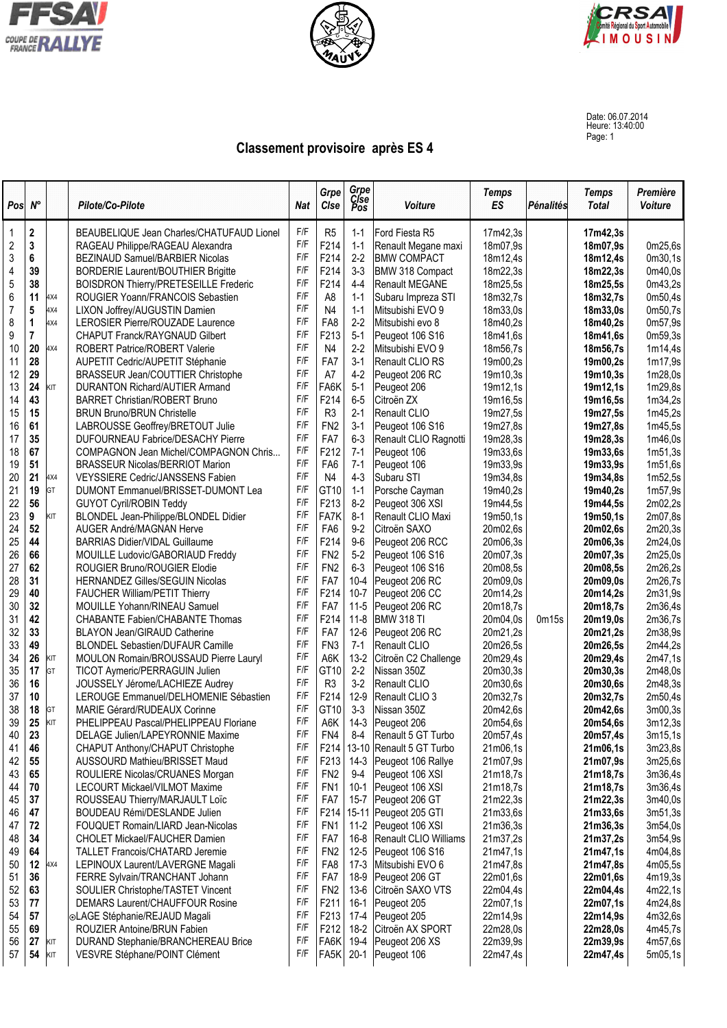





Date: 06.07.2014 Heure: 13:40:00 Page: 1

## **Classement provisoire après ES 4**

| Pos                     | $N^{\circ}$ |                  | Pilote/Co-Pilote                             | <b>Nat</b>                                                     | Grpe<br>Clse      | Grpe<br>Cise<br>Pos | Voiture                            | <b>Temps</b><br>ES   | <b>Pénalités</b> | <b>Temps</b><br><b>Total</b> | Première<br>Voiture |
|-------------------------|-------------|------------------|----------------------------------------------|----------------------------------------------------------------|-------------------|---------------------|------------------------------------|----------------------|------------------|------------------------------|---------------------|
| 1                       | 2           |                  | BEAUBELIQUE Jean Charles/CHATUFAUD Lionel    | F/F<br>R <sub>5</sub><br>Ford Fiesta R5<br>17m42,3s<br>$1 - 1$ |                   | 17m42,3s            |                                    |                      |                  |                              |                     |
| $\overline{\mathbf{c}}$ | $\mathbf 3$ |                  | RAGEAU Philippe/RAGEAU Alexandra             | F/F                                                            | F214              | $1 - 1$             | Renault Megane maxi                | 18m07,9s             |                  | 18m07,9s                     | 0m25,6s             |
| 3                       | 6           |                  | BEZINAUD Samuel/BARBIER Nicolas              | F/F                                                            | F214              | $2-2$               | <b>BMW COMPACT</b>                 | 18m12,4s             |                  | 18m12,4s                     | 0 <sub>m30.1s</sub> |
| 4                       | 39          |                  | <b>BORDERIE Laurent/BOUTHIER Brigitte</b>    | F/F                                                            | F214              | $3 - 3$             | BMW 318 Compact                    | 18m22,3s             |                  | 18m22,3s                     | 0m40,0s             |
| 5                       | 38          |                  | <b>BOISDRON Thierry/PRETESEILLE Frederic</b> | F/F                                                            | F214              | $4 - 4$             | Renault MEGANE                     | 18m25,5s             |                  | 18m25,5s                     | 0m43,2s             |
| 6                       | 11          | 4X4              | ROUGIER Yoann/FRANCOIS Sebastien             | F/F                                                            | A8                | $1 - 1$             | Subaru Impreza STI                 | 18m32,7s             |                  | 18m32,7s                     | 0m50,4s             |
| $\overline{7}$          | 5           | 4X4              | LIXON Joffrey/AUGUSTIN Damien                | F/F                                                            | N <sub>4</sub>    | $1 - 1$             | Mitsubishi EVO 9                   | 18m33,0s             |                  | 18m33,0s                     | 0m50,7s             |
| 8                       | 1           | 4X4              | LEROSIER Pierre/ROUZADE Laurence             | F/F                                                            | FA8               | $2 - 2$             | Mitsubishi evo 8                   | 18m40,2s             |                  | 18m40,2s                     | 0m57,9s             |
| 9                       | 7           |                  | <b>CHAPUT Franck/RAYGNAUD Gilbert</b>        | F/F                                                            | F213              | $5-1$               | Peugeot 106 S16                    | 18m41,6s             |                  | 18m41,6s                     | 0m59,3s             |
| 10                      | 20          | IX4              | ROBERT Patrice/ROBERT Valerie                | F/F                                                            | N <sub>4</sub>    | $2-2$               | Mitsubishi EVO 9                   | 18m56,7s             |                  | 18m56,7s                     | 1m14,4s             |
| 11                      | 28          |                  | AUPETIT Cedric/AUPETIT Stéphanie             | F/F                                                            | FA7               | $3-1$               | Renault CLIO RS                    | 19m00,2s             |                  | 19m00,2s                     | 1m17,9s             |
| 12                      | 29          |                  | BRASSEUR Jean/COUTTIER Christophe            | F/F                                                            | A7                | $4 - 2$             | Peugeot 206 RC                     | 19m10,3s             |                  | 19m10,3s                     | 1m28,0s             |
| 13                      | 24          | <b>SIT</b>       | <b>DURANTON Richard/AUTIER Armand</b>        | F/F                                                            | FA6K              | $5 - 1$             | Peugeot 206                        | 19m12,1s             |                  | 19m12,1s                     | 1m29,8s             |
| 14                      | 43          |                  | <b>BARRET Christian/ROBERT Bruno</b>         | F/F                                                            | F214              | $6-5$               | Citroën ZX                         | 19m16,5s             |                  | 19m16,5s                     | 1m34,2s             |
| 15                      | 15          |                  | <b>BRUN Bruno/BRUN Christelle</b>            | F/F                                                            | R <sub>3</sub>    | $2-1$               | Renault CLIO                       | 19m27,5s             |                  | 19m27,5s                     | 1m45,2s             |
| 16                      | 61          |                  | LABROUSSE Geoffrey/BRETOUT Julie             | F/F                                                            | FN <sub>2</sub>   | $3-1$               | Peugeot 106 S16                    | 19m27,8s             |                  | 19m27,8s                     | 1m45,5s             |
| 17                      | 35          |                  | DUFOURNEAU Fabrice/DESACHY Pierre            | F/F                                                            | FA7               | $6 - 3$             | Renault CLIO Ragnotti              | 19m28,3s             |                  | 19m28,3s                     | 1m46,0s             |
| 18                      | 67          |                  | COMPAGNON Jean Michel/COMPAGNON Chris        | F/F                                                            | F212              | $7-1$               | Peugeot 106                        | 19m33,6s             |                  | 19m33,6s                     | 1m51,3s             |
| 19                      | 51          |                  | <b>BRASSEUR Nicolas/BERRIOT Marion</b>       | F/F                                                            | FA <sub>6</sub>   | $7-1$               | Peugeot 106                        | 19m33.9s             |                  | 19m33,9s                     | 1m51,6s             |
| 20                      | 21          | 1X4              | <b>VEYSSIERE Cedric/JANSSENS Fabien</b>      | F/F                                                            | N <sub>4</sub>    | $4 - 3$             | Subaru STI                         | 19m34,8s             |                  | 19m34,8s                     | 1m52,5s             |
| 21                      | 19          | GT               | DUMONT Emmanuel/BRISSET-DUMONT Lea           | F/F                                                            | GT10              | $1 - 1$             | Porsche Cayman                     | 19m40,2s             |                  | 19m40,2s                     | 1m57,9s             |
| 22                      | 56          |                  | <b>GUYOT Cyril/ROBIN Teddy</b>               | F/F                                                            | F213              | $8 - 2$             | Peugeot 306 XSI                    | 19m44,5s             |                  | 19m44,5s                     | 2m02,2s             |
| 23                      | 9           | KIT              | BLONDEL Jean-Philippe/BLONDEL Didier         | F/F                                                            | FA7K              | $8 - 1$             | Renault CLIO Maxi                  | 19m50,1s             |                  | 19m50,1s                     | 2m07,8s             |
| 24                      | 52          |                  | AUGER André/MAGNAN Herve                     | F/F                                                            | FA <sub>6</sub>   | $9-2$               | Citroën SAXO                       | 20m02.6s             |                  | 20m02,6s                     | 2m20,3s             |
| 25                      | 44          |                  | <b>BARRIAS Didier/VIDAL Guillaume</b>        | F/F                                                            | F214              | $9-6$               | Peugeot 206 RCC                    | 20m06,3s             |                  | 20m06,3s                     | 2m24,0s             |
| 26                      | 66          |                  | MOUILLE Ludovic/GABORIAUD Freddy             | F/F                                                            | FN <sub>2</sub>   | $5 - 2$             | Peugeot 106 S16                    | 20m07,3s             |                  | 20m07,3s                     | 2m25,0s             |
| 27                      | 62          |                  | ROUGIER Bruno/ROUGIER Elodie                 | F/F                                                            | FN <sub>2</sub>   | $6 - 3$             | Peugeot 106 S16                    | 20m08,5s             |                  | 20m08,5s                     | 2m26,2s             |
| 28                      | 31          |                  | HERNANDEZ Gilles/SEGUIN Nicolas              | F/F                                                            | FA7               | $10 - 4$            | Peugeot 206 RC                     | 20m09,0s             |                  | 20m09,0s                     | 2m26,7s             |
| 29                      | 40          |                  | FAUCHER William/PETIT Thierry                | F/F                                                            | F214              | $10 - 7$            | Peugeot 206 CC                     | 20m14,2s             |                  | 20m14,2s                     | 2m31,9s             |
| 30                      | 32          |                  | MOUILLE Yohann/RINEAU Samuel                 | F/F                                                            | FA7               | $11 - 5$            | Peugeot 206 RC                     | 20m18,7s             |                  | 20m18,7s                     | 2m36,4s             |
| 31                      | 42          |                  | <b>CHABANTE Fabien/CHABANTE Thomas</b>       | F/F                                                            | F214              | $11 - 8$            | <b>BMW 318 TI</b>                  | 20m04,0s             | 0m15s            | 20m19,0s                     | 2m36,7s             |
| 32                      | 33          |                  | <b>BLAYON Jean/GIRAUD Catherine</b>          | F/F                                                            | FA7               | $12-6$              | Peugeot 206 RC                     | 20m21,2s             |                  | 20m21,2s                     | 2m38,9s             |
| 33                      | 49          |                  | <b>BLONDEL Sebastien/DUFAUR Camille</b>      | F/F                                                            | FN <sub>3</sub>   | $7-1$               | Renault CLIO                       | 20m26,5s             |                  | 20m26,5s                     | 2m44,2s             |
| 34                      | 26          | <b>KIT</b><br>GT | MOULON Romain/BROUSSAUD Pierre Lauryl        | F/F                                                            | A6K               | $13 - 2$            | Citroën C2 Challenge               | 20m29,4s             |                  | 20m29,4s                     | 2m47,1s             |
| 35                      | 17          |                  | TICOT Aymeric/PERRAGUIN Julien               | F/F                                                            | GT <sub>10</sub>  | $2-2$               | Nissan 350Z                        | 20m30,3s             |                  | 20m30,3s                     | 2m48,0s             |
| 36                      | 16          |                  | JOUSSELY Jérome/LACHIEZE Audrey              | F/F                                                            | R <sub>3</sub>    | $3-2$               | Renault CLIO                       | 20m30,6s             |                  | 20m30,6s                     | 2m48,3s             |
| 37                      | 10          |                  | LEROUGE Emmanuel/DELHOMENIE Sébastien        | F/F                                                            | F214              | $12-9$              | Renault CLIO 3                     | 20m32,7s             |                  | 20m32,7s                     | 2m50,4s             |
| 38                      | 18          | GT               | MARIE Gérard/RUDEAUX Corinne                 | F/F                                                            | GT <sub>10</sub>  | $3 - 3$             | Nissan 350Z                        | 20m42,6s             |                  | 20m42,6s                     | 3m00,3s             |
| 39                      | 25          | KIT              | PHELIPPEAU Pascal/PHELIPPEAU Floriane        | F/F                                                            | A6K               | $14-3$              | Peugeot 206                        | 20m54,6s             |                  | 20m54,6s                     | 3m12,3s             |
| 40                      | 23          |                  | DELAGE Julien/LAPEYRONNIE Maxime             | F/F                                                            | FN4               | $8 - 4$             | Renault 5 GT Turbo                 | 20m57,4s             |                  | 20m57,4s                     | 3m15,1s             |
| 41                      | 46          |                  | CHAPUT Anthony/CHAPUT Christophe             | F/F                                                            | F214              | $13 - 10$           | Renault 5 GT Turbo                 | 21m06,1s             |                  | 21m06,1s                     | 3m23,8s             |
| 42                      | 55          |                  | AUSSOURD Mathieu/BRISSET Maud                | F/F                                                            | F213              | $14-3$              | Peugeot 106 Rallye                 | 21m07,9s             |                  | 21m07,9s                     | 3m25,6s             |
| 43                      | 65          |                  | ROULIERE Nicolas/CRUANES Morgan              | F/F                                                            | FN <sub>2</sub>   | $9-4$               | Peugeot 106 XSI                    | 21m18,7s             |                  | 21m18,7s                     | 3m36,4s             |
| 44                      | 70          |                  | LECOURT Mickael/VILMOT Maxime                | F/F                                                            | FN <sub>1</sub>   | $10-1$              | Peugeot 106 XSI                    | 21m18,7s             |                  | 21m18,7s                     | 3m36,4s             |
| 45                      | 37          |                  | ROUSSEAU Thierry/MARJAULT Loïc               | F/F                                                            | FA7               | $15 - 7$            | Peugeot 206 GT                     | 21m22,3s             |                  | 21m22,3s                     | 3m40,0s             |
| 46                      | 47          |                  | BOUDEAU Rémi/DESLANDE Julien                 | F/F                                                            | F214              | $15 - 11$           | Peugeot 205 GTI                    | 21m33,6s             |                  | 21m33,6s                     | 3m51,3s             |
| 47                      | 72          |                  | FOUQUET Romain/LIARD Jean-Nicolas            | F/F                                                            | FN <sub>1</sub>   | $11-2$              | Peugeot 106 XSI                    | 21m36,3s             |                  | 21m36,3s                     | 3m54,0s             |
| 48                      | 34          |                  | CHOLET Mickael/FAUCHER Damien                | F/F                                                            | FA7               | $16 - 8$            | Renault CLIO Williams              | 21m37,2s             |                  | 21m37,2s                     | 3m54,9s             |
| 49                      | 64          |                  | <b>TALLET Francois/CHATARD Jeremie</b>       | F/F                                                            | FN <sub>2</sub>   | $12 - 5$            | Peugeot 106 S16                    | 21m47,1s             |                  | 21m47,1s                     | 4m04,8s             |
| 50                      | 12          | 1X4              |                                              | F/F                                                            | FA8               | $17-3$              | Mitsubishi EVO 6                   | 21m47,8s             |                  | 21m47,8s                     | 4m05,5s             |
| 51                      | 36          |                  | LEPINOUX Laurent/LAVERGNE Magali             | F/F                                                            | FA7               | 18-9                | Peugeot 206 GT                     | 22m01,6s             |                  | 22m01,6s                     | 4m19,3s             |
| 52                      | 63          |                  | FERRE Sylvain/TRANCHANT Johann               | F/F                                                            | FN <sub>2</sub>   | $13-6$              |                                    | 22m04,4s             |                  |                              | 4m22,1s             |
| 53                      |             |                  | SOULIER Christophe/TASTET Vincent            | F/F                                                            |                   |                     | Citroën SAXO VTS                   |                      |                  | 22m04,4s                     |                     |
|                         | 77          |                  | DEMARS Laurent/CHAUFFOUR Rosine              | F/F                                                            | F <sub>2</sub> 11 | $16-1$              | Peugeot 205                        | 22m07,1s             |                  | 22m07,1s                     | 4m24,8s             |
| 54                      | 57          |                  | <b>OLAGE Stéphanie/REJAUD Magali</b>         | F/F                                                            | F213              | 17-4                | Peugeot 205                        | 22m14,9s             |                  | 22m14,9s                     | 4m32,6s             |
| 55                      | 69<br>27    |                  | ROUZIER Antoine/BRUN Fabien                  | F/F                                                            | F212<br>FA6K      | $18-2$<br>19-4      | Citroën AX SPORT<br>Peugeot 206 XS | 22m28,0s<br>22m39,9s |                  | 22m28,0s<br>22m39,9s         | 4m45,7s<br>4m57,6s  |
| 56<br>57                |             | KIT<br>KIT       | DURAND Stephanie/BRANCHEREAU Brice           | F/F                                                            | FA5K              | $20-1$              |                                    |                      |                  |                              | 5m05,1s             |
|                         | 54          |                  | VESVRE Stéphane/POINT Clément                |                                                                |                   |                     | Peugeot 106                        | 22m47,4s             |                  | 22m47,4s                     |                     |